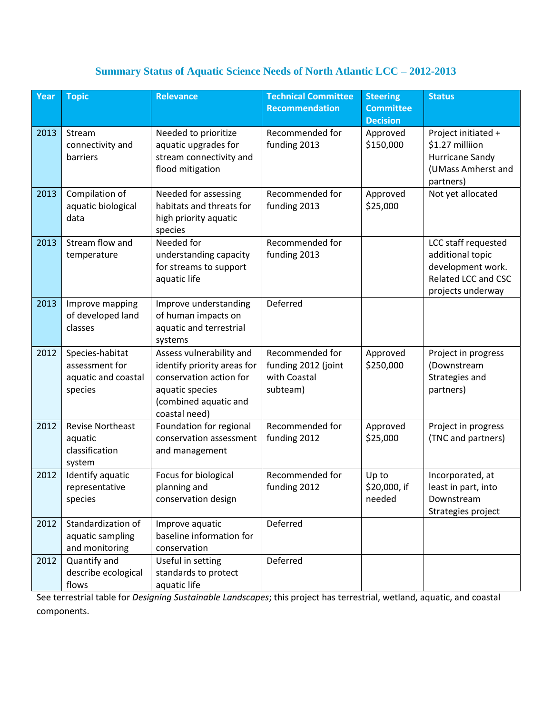## **Summary Status of Aquatic Science Needs of North Atlantic LCC – 2012-2013**

| Year | <b>Topic</b>                                                        | <b>Relevance</b>                                                                                                                                | <b>Technical Committee</b><br><b>Recommendation</b>                | <b>Steering</b><br><b>Committee</b><br><b>Decision</b> | <b>Status</b>                                                                                            |
|------|---------------------------------------------------------------------|-------------------------------------------------------------------------------------------------------------------------------------------------|--------------------------------------------------------------------|--------------------------------------------------------|----------------------------------------------------------------------------------------------------------|
| 2013 | Stream<br>connectivity and<br>barriers                              | Needed to prioritize<br>aquatic upgrades for<br>stream connectivity and<br>flood mitigation                                                     | Recommended for<br>funding 2013                                    | Approved<br>\$150,000                                  | Project initiated +<br>\$1.27 milliion<br>Hurricane Sandy<br>(UMass Amherst and<br>partners)             |
| 2013 | Compilation of<br>aquatic biological<br>data                        | Needed for assessing<br>habitats and threats for<br>high priority aquatic<br>species                                                            | Recommended for<br>funding 2013                                    | Approved<br>\$25,000                                   | Not yet allocated                                                                                        |
| 2013 | Stream flow and<br>temperature                                      | Needed for<br>understanding capacity<br>for streams to support<br>aquatic life                                                                  | Recommended for<br>funding 2013                                    |                                                        | LCC staff requested<br>additional topic<br>development work.<br>Related LCC and CSC<br>projects underway |
| 2013 | Improve mapping<br>of developed land<br>classes                     | Improve understanding<br>of human impacts on<br>aquatic and terrestrial<br>systems                                                              | Deferred                                                           |                                                        |                                                                                                          |
| 2012 | Species-habitat<br>assessment for<br>aquatic and coastal<br>species | Assess vulnerability and<br>identify priority areas for<br>conservation action for<br>aquatic species<br>(combined aquatic and<br>coastal need) | Recommended for<br>funding 2012 (joint<br>with Coastal<br>subteam) | Approved<br>\$250,000                                  | Project in progress<br>(Downstream<br>Strategies and<br>partners)                                        |
| 2012 | <b>Revise Northeast</b><br>aquatic<br>classification<br>system      | Foundation for regional<br>conservation assessment<br>and management                                                                            | Recommended for<br>funding 2012                                    | Approved<br>\$25,000                                   | Project in progress<br>(TNC and partners)                                                                |
| 2012 | Identify aquatic<br>representative<br>species                       | Focus for biological<br>planning and<br>conservation design                                                                                     | Recommended for<br>funding 2012                                    | Up to<br>\$20,000, if<br>needed                        | Incorporated, at<br>least in part, into<br>Downstream<br>Strategies project                              |
| 2012 | Standardization of<br>aquatic sampling<br>and monitoring            | Improve aquatic<br>baseline information for<br>conservation                                                                                     | Deferred                                                           |                                                        |                                                                                                          |
| 2012 | Quantify and<br>describe ecological<br>flows                        | Useful in setting<br>standards to protect<br>aquatic life                                                                                       | Deferred                                                           |                                                        |                                                                                                          |

See terrestrial table for *Designing Sustainable Landscapes*; this project has terrestrial, wetland, aquatic, and coastal components.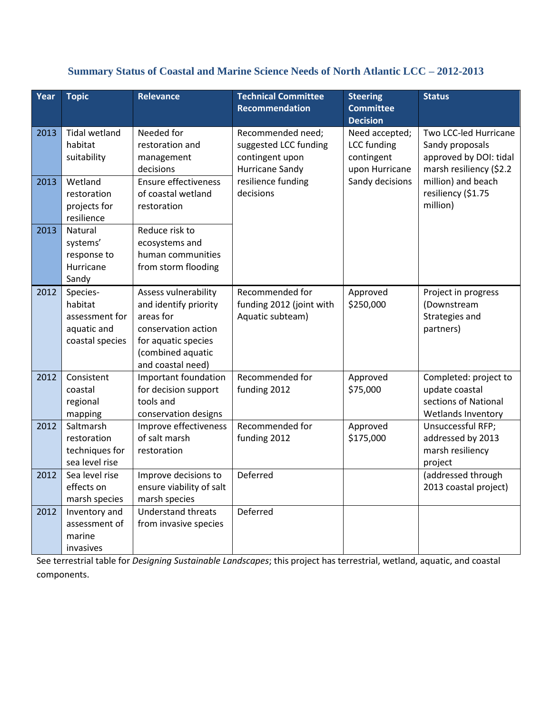## **Summary Status of Coastal and Marine Science Needs of North Atlantic LCC – 2012-2013**

| Year | <b>Topic</b>                                                            | <b>Relevance</b>                                                                                                                                   | <b>Technical Committee</b><br><b>Recommendation</b>                              | <b>Steering</b><br><b>Committee</b><br><b>Decision</b>               | <b>Status</b>                                                                                 |
|------|-------------------------------------------------------------------------|----------------------------------------------------------------------------------------------------------------------------------------------------|----------------------------------------------------------------------------------|----------------------------------------------------------------------|-----------------------------------------------------------------------------------------------|
| 2013 | <b>Tidal wetland</b><br>habitat<br>suitability                          | Needed for<br>restoration and<br>management<br>decisions                                                                                           | Recommended need;<br>suggested LCC funding<br>contingent upon<br>Hurricane Sandy | Need accepted;<br><b>LCC</b> funding<br>contingent<br>upon Hurricane | Two LCC-led Hurricane<br>Sandy proposals<br>approved by DOI: tidal<br>marsh resiliency (\$2.2 |
| 2013 | Wetland<br>restoration<br>projects for<br>resilience                    | Ensure effectiveness<br>of coastal wetland<br>restoration                                                                                          | resilience funding<br>decisions                                                  | Sandy decisions                                                      | million) and beach<br>resiliency (\$1.75<br>million)                                          |
| 2013 | Natural<br>systems'<br>response to<br>Hurricane<br>Sandy                | Reduce risk to<br>ecosystems and<br>human communities<br>from storm flooding                                                                       |                                                                                  |                                                                      |                                                                                               |
| 2012 | Species-<br>habitat<br>assessment for<br>aquatic and<br>coastal species | Assess vulnerability<br>and identify priority<br>areas for<br>conservation action<br>for aquatic species<br>(combined aquatic<br>and coastal need) | Recommended for<br>funding 2012 (joint with<br>Aquatic subteam)                  | Approved<br>\$250,000                                                | Project in progress<br>(Downstream<br>Strategies and<br>partners)                             |
| 2012 | Consistent<br>coastal<br>regional<br>mapping                            | Important foundation<br>for decision support<br>tools and<br>conservation designs                                                                  | Recommended for<br>funding 2012                                                  | Approved<br>\$75,000                                                 | Completed: project to<br>update coastal<br>sections of National<br>Wetlands Inventory         |
| 2012 | Saltmarsh<br>restoration<br>techniques for<br>sea level rise            | Improve effectiveness<br>of salt marsh<br>restoration                                                                                              | Recommended for<br>funding 2012                                                  | Approved<br>\$175,000                                                | Unsuccessful RFP;<br>addressed by 2013<br>marsh resiliency<br>project                         |
| 2012 | Sea level rise<br>effects on<br>marsh species                           | Improve decisions to<br>ensure viability of salt<br>marsh species                                                                                  | Deferred                                                                         |                                                                      | (addressed through<br>2013 coastal project)                                                   |
| 2012 | Inventory and<br>assessment of<br>marine<br>invasives                   | <b>Understand threats</b><br>from invasive species                                                                                                 | Deferred                                                                         |                                                                      |                                                                                               |

See terrestrial table for *Designing Sustainable Landscapes*; this project has terrestrial, wetland, aquatic, and coastal components.